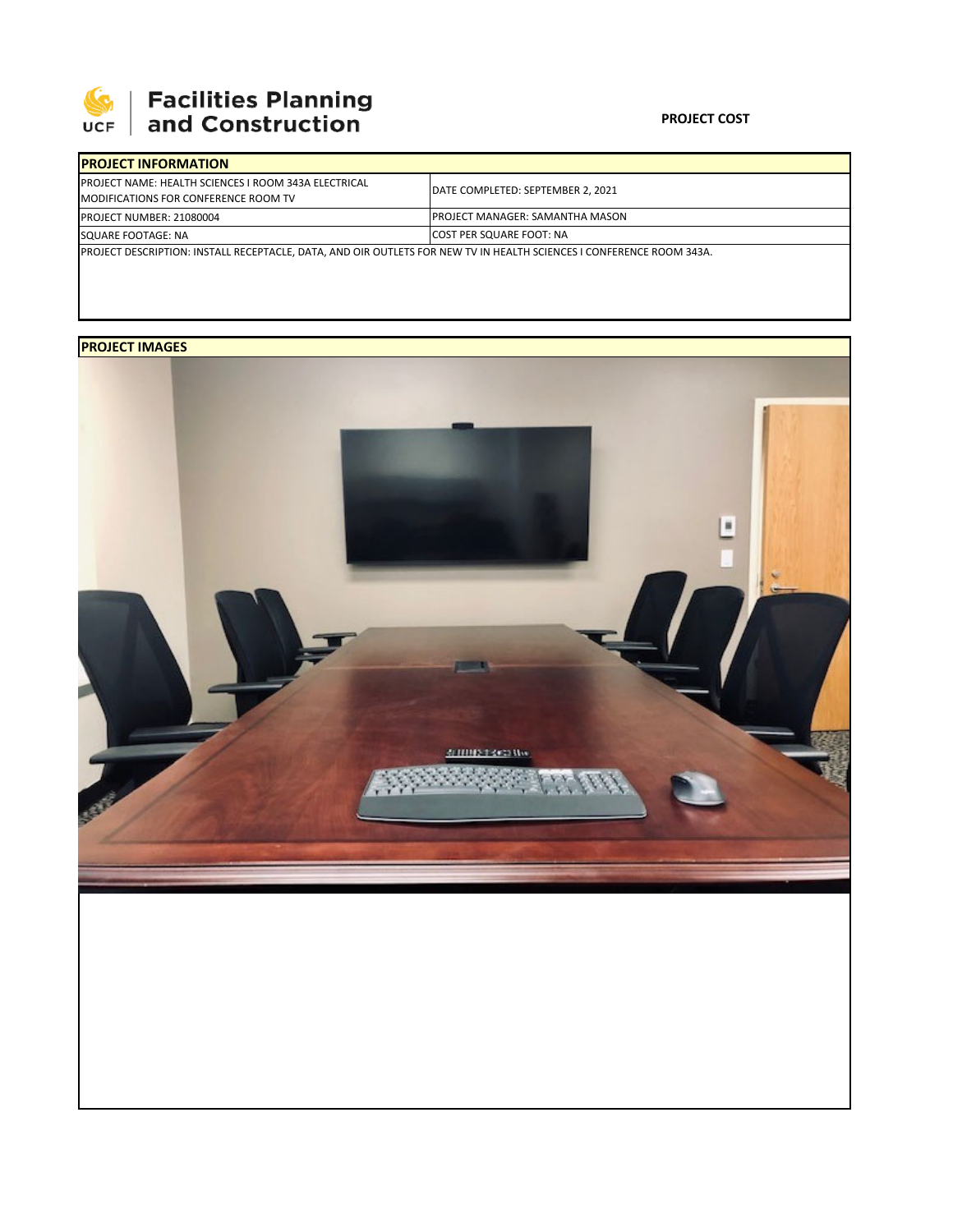

## **SEPTE AND Facilities Planning**<br>UCF and Construction

## **PROJECT COST**

| <b>IPROJECT INFORMATION</b>                                                                                                 |                                         |  |  |  |  |  |
|-----------------------------------------------------------------------------------------------------------------------------|-----------------------------------------|--|--|--|--|--|
| <b>IPROJECT NAME: HEALTH SCIENCES I ROOM 343A ELECTRICAL</b><br>MODIFICATIONS FOR CONFERENCE ROOM TV                        | DATE COMPLETED: SEPTEMBER 2, 2021       |  |  |  |  |  |
| <b>PROJECT NUMBER: 21080004</b>                                                                                             | <b>IPROJECT MANAGER: SAMANTHA MASON</b> |  |  |  |  |  |
| SQUARE FOOTAGE: NA                                                                                                          | <b>COST PER SQUARE FOOT: NA</b>         |  |  |  |  |  |
| <b>PROJECT DESCRIPTION: INSTALL RECEPTACLE, DATA, AND OIR OUTLETS FOR NEW TV IN HEALTH SCIENCES I CONFERENCE ROOM 343A.</b> |                                         |  |  |  |  |  |

## **PROJECT IMAGES**